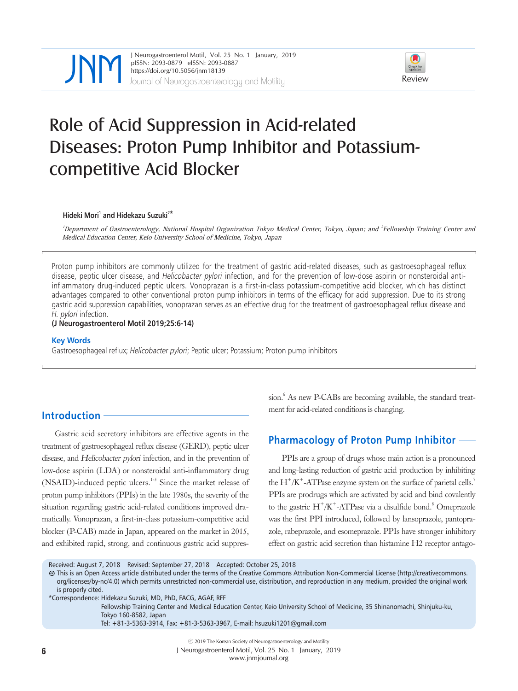

JNeurogastroenterol Motil, Vol. 25 No. 1 January, 2019<br>
pISSN: 2093-0879 eISSN: 2093-0887<br>
https://doi.org/10.5056/jnm18139<br>
Journal of Neurogastroenterology and Motility Review pISSN: 2093-0879 eISSN: 2093-0887 https://doi.org/10.5056/jnm18139



# Role of Acid Suppression in Acid-related Diseases: Proton Pump Inhibitor and Potassiumcompetitive Acid Blocker

#### **Hideki Mori1 and Hidekazu Suzuki2\***

<sup>1</sup>Department of Gastroenterology, National Hospital Organization Tokyo Medical Center, Tokyo, Japan; and <sup>2</sup>Fellowship Training Center and Medical Education Center, Keio University School of Medicine, Tokyo, Japan

Proton pump inhibitors are commonly utilized for the treatment of gastric acid-related diseases, such as gastroesophageal reflux disease, peptic ulcer disease, and *Helicobacter pylori* infection, and for the prevention of low-dose aspirin or nonsteroidal antiinflammatory drug-induced peptic ulcers. Vonoprazan is a first-in-class potassium-competitive acid blocker, which has distinct advantages compared to other conventional proton pump inhibitors in terms of the efficacy for acid suppression. Due to its strong gastric acid suppression capabilities, vonoprazan serves as an effective drug for the treatment of gastroesophageal reflux disease and H. pylori infection.

#### **(J Neurogastroenterol Motil 2019;25:6-14)**

#### **Key Words**

Gastroesophageal reflux; Helicobacter pylori; Peptic ulcer; Potassium; Proton pump inhibitors

# **Introduction**

Gastric acid secretory inhibitors are effective agents in the treatment of gastroesophageal reflux disease (GERD), peptic ulcer disease, and Helicobacter pylori infection, and in the prevention of low-dose aspirin (LDA) or nonsteroidal anti-inflammatory drug (NSAID)-induced peptic ulcers.<sup>1-5</sup> Since the market release of proton pump inhibitors (PPIs) in the late 1980s, the severity of the situation regarding gastric acid-related conditions improved dramatically. Vonoprazan, a first-in-class potassium-competitive acid blocker (P-CAB) made in Japan, appeared on the market in 2015, and exhibited rapid, strong, and continuous gastric acid suppression.<sup>6</sup> As new P-CABs are becoming available, the standard treatment for acid-related conditions is changing.

#### **Pharmacology of Proton Pump Inhibitor**

PPIs are a group of drugs whose main action is a pronounced and long-lasting reduction of gastric acid production by inhibiting the  $H^+/K^+$ -ATPase enzyme system on the surface of parietal cells.<sup>7</sup> PPIs are prodrugs which are activated by acid and bind covalently to the gastric  $H^+/K^+$ -ATPase via a disulfide bond.<sup>8</sup> Omeprazole was the first PPI introduced, followed by lansoprazole, pantoprazole, rabeprazole, and esomeprazole. PPIs have stronger inhibitory effect on gastric acid secretion than histamine H2 receptor antago-

Received: August 7, 2018 Revised: September 27, 2018 Accepted: October 25, 2018

This is an Open Access article distributed under the terms of the Creative Commons Attribution Non-Commercial License (http://creativecommons. org/licenses/by-nc/4.0) which permits unrestricted non-commercial use, distribution, and reproduction in any medium, provided the original work is properly cited.

\*Correspondence: Hidekazu Suzuki, MD, PhD, FACG, AGAF, RFF

Fellowship Training Center and Medical Education Center, Keio University School of Medicine, 35 Shinanomachi, Shinjuku-ku, Tokyo 160-8582, Japan

Tel: +81-3-5363-3914, Fax: +81-3-5363-3967, E-mail: hsuzuki1201@gmail.com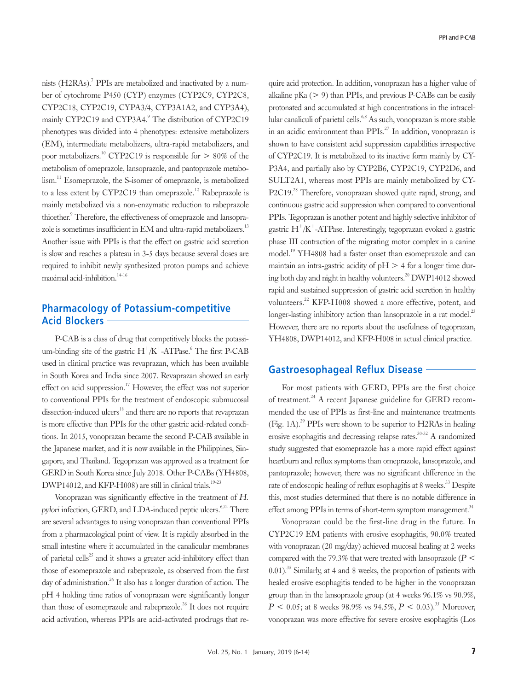nists (H2RAs).<sup>7</sup> PPIs are metabolized and inactivated by a number of cytochrome P450 (CYP) enzymes (CYP2C9, CYP2C8, CYP2C18, CYP2C19, CYPA3/4, CYP3A1A2, and CYP3A4), mainly CYP2C19 and CYP3A4.<sup>9</sup> The distribution of CYP2C19 phenotypes was divided into 4 phenotypes: extensive metabolizers (EM), intermediate metabolizers, ultra-rapid metabolizers, and poor metabolizers.<sup>10</sup> CYP2C19 is responsible for  $> 80\%$  of the metabolism of omeprazole, lansoprazole, and pantoprazole metabolism.<sup>11</sup> Esomeprazole, the S-isomer of omeprazole, is metabolized to a less extent by CYP2C19 than omeprazole.<sup>12</sup> Rabeprazole is mainly metabolized via a non-enzymatic reduction to rabeprazole thioether.<sup>9</sup> Therefore, the effectiveness of omeprazole and lansoprazole is sometimes insufficient in EM and ultra-rapid metabolizers.<sup>13</sup>

Another issue with PPIs is that the effect on gastric acid secretion is slow and reaches a plateau in 3-5 days because several doses are required to inhibit newly synthesized proton pumps and achieve maximal acid-inhibition. $14-16$ 

### **Pharmacology of Potassium-competitive Acid Blockers**

P-CAB is a class of drug that competitively blocks the potassium-binding site of the gastric  $H^+/K^+$ -ATPase.<sup>6</sup> The first P-CAB used in clinical practice was revaprazan, which has been available in South Korea and India since 2007. Revaprazan showed an early effect on acid suppression.<sup>17</sup> However, the effect was not superior to conventional PPIs for the treatment of endoscopic submucosal dissection-induced ulcers<sup>18</sup> and there are no reports that revaprazan is more effective than PPIs for the other gastric acid-related conditions. In 2015, vonoprazan became the second P-CAB available in the Japanese market, and it is now available in the Philippines, Singapore, and Thailand. Tegoprazan was approved as a treatment for GERD in South Korea since July 2018. Other P-CABs (YH4808, DWP14012, and KFP-H008) are still in clinical trials.<sup>19-23</sup>

Vonoprazan was significantly effective in the treatment of H. pylori infection, GERD, and LDA-induced peptic ulcers.<sup>6,24</sup> There are several advantages to using vonoprazan than conventional PPIs from a pharmacological point of view. It is rapidly absorbed in the small intestine where it accumulated in the canalicular membranes of parietal cells<sup>25</sup> and it shows a greater acid-inhibitory effect than those of esomeprazole and rabeprazole, as observed from the first day of administration.<sup>26</sup> It also has a longer duration of action. The pH 4 holding time ratios of vonoprazan were significantly longer than those of esomeprazole and rabeprazole.<sup>26</sup> It does not require acid activation, whereas PPIs are acid-activated prodrugs that re-

quire acid protection. In addition, vonoprazan has a higher value of alkaline pKa  $(> 9)$  than PPIs, and previous P-CABs can be easily protonated and accumulated at high concentrations in the intracellular canaliculi of parietal cells.<sup>6,8</sup> As such, vonoprazan is more stable in an acidic environment than PPIs.<sup>27</sup> In addition, vonoprazan is shown to have consistent acid suppression capabilities irrespective of CYP2C19. It is metabolized to its inactive form mainly by CY-P3A4, and partially also by CYP2B6, CYP2C19, CYP2D6, and SULT2A1, whereas most PPIs are mainly metabolized by CY-P2C19<sup>28</sup> Therefore, vonoprazan showed quite rapid, strong, and continuous gastric acid suppression when compared to conventional PPIs. Tegoprazan is another potent and highly selective inhibitor of gastric  $H^+/K^+$ -ATPase. Interestingly, tegoprazan evoked a gastric phase III contraction of the migrating motor complex in a canine model.19 YH4808 had a faster onset than esomeprazole and can maintain an intra-gastric acidity of  $pH > 4$  for a longer time during both day and night in healthy volunteers.<sup>20</sup> DWP14012 showed rapid and sustained suppression of gastric acid secretion in healthy volunteers.22 KFP-H008 showed a more effective, potent, and longer-lasting inhibitory action than lansoprazole in a rat model.<sup>23</sup> However, there are no reports about the usefulness of tegoprazan, YH4808, DWP14012, and KFP-H008 in actual clinical practice.

### **Gastroesophageal Reflux Disease**

For most patients with GERD, PPIs are the first choice of treatment.24 A recent Japanese guideline for GERD recommended the use of PPIs as first-line and maintenance treatments  $(Fig. 1A).^{29}$  PPIs were shown to be superior to H2RAs in healing erosive esophagitis and decreasing relapse rates.<sup>30-32</sup> A randomized study suggested that esomeprazole has a more rapid effect against heartburn and reflux symptoms than omeprazole, lansoprazole, and pantoprazole; however, there was no significant difference in the rate of endoscopic healing of reflux esophagitis at 8 weeks.<sup>33</sup> Despite this, most studies determined that there is no notable difference in effect among PPIs in terms of short-term symptom management.<sup>34</sup>

Vonoprazan could be the first-line drug in the future. In CYP2C19 EM patients with erosive esophagitis, 90.0% treated with vonoprazan (20 mg/day) achieved mucosal healing at 2 weeks compared with the 79.3% that were treated with lansoprazole ( $P$  <  $(0.01)$ .<sup>35</sup> Similarly, at 4 and 8 weeks, the proportion of patients with healed erosive esophagitis tended to be higher in the vonoprazan group than in the lansoprazole group (at 4 weeks 96.1% vs 90.9%,  $P < 0.05$ ; at 8 weeks 98.9% vs 94.5%,  $P < 0.03$ ).<sup>35</sup> Moreover, vonoprazan was more effective for severe erosive esophagitis (Los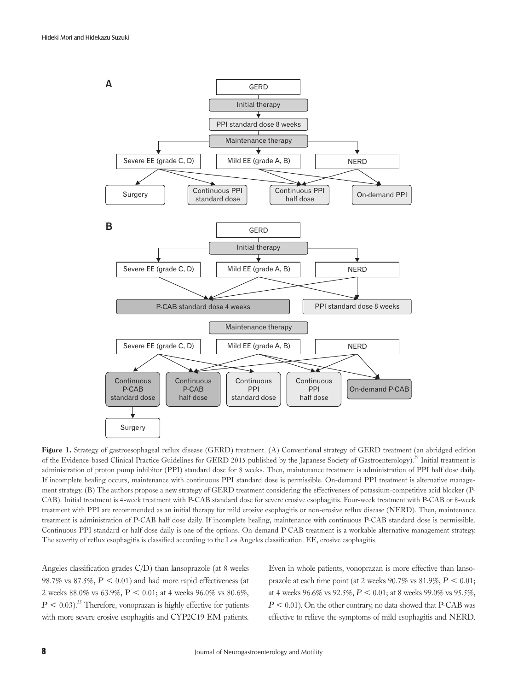

Figure 1. Strategy of gastroesophageal reflux disease (GERD) treatment. (A) Conventional strategy of GERD treatment (an abridged edition of the Evidence-based Clinical Practice Guidelines for GERD 2015 published by the Japanese Society of Gastroenterology).<sup>29</sup> Initial treatment is administration of proton pump inhibitor (PPI) standard dose for 8 weeks. Then, maintenance treatment is administration of PPI half dose daily. If incomplete healing occurs, maintenance with continuous PPI standard dose is permissible. On-demand PPI treatment is alternative management strategy. (B) The authors propose a new strategy of GERD treatment considering the effectiveness of potassium-competitive acid blocker (P-CAB). Initial treatment is 4-week treatment with P-CAB standard dose for severe erosive esophagitis. Four-week treatment with P-CAB or 8-week treatment with PPI are recommended as an initial therapy for mild erosive esophagitis or non-erosive reflux disease (NERD). Then, maintenance treatment is administration of P-CAB half dose daily. If incomplete healing, maintenance with continuous P-CAB standard dose is permissible. Continuous PPI standard or half dose daily is one of the options. On-demand P-CAB treatment is a workable alternative management strategy. The severity of reflux esophagitis is classified according to the Los Angeles classification. EE, erosive esophagitis.

Angeles classification grades C/D) than lansoprazole (at 8 weeks 98.7% vs 87.5%,  $P < 0.01$ ) and had more rapid effectiveness (at 2 weeks 88.0% vs 63.9%,  $P < 0.01$ ; at 4 weeks 96.0% vs 80.6%,  $P \leq 0.03$ <sup>35</sup>. Therefore, vonoprazan is highly effective for patients with more severe erosive esophagitis and CYP2C19 EM patients.

Even in whole patients, vonoprazan is more effective than lansoprazole at each time point (at 2 weeks  $90.7\%$  vs  $81.9\%, P \leq 0.01;$ at 4 weeks 96.6% vs 92.5%,  $P < 0.01$ ; at 8 weeks 99.0% vs 95.5%,  $P \leq 0.01$ ). On the other contrary, no data showed that P-CAB was effective to relieve the symptoms of mild esophagitis and NERD.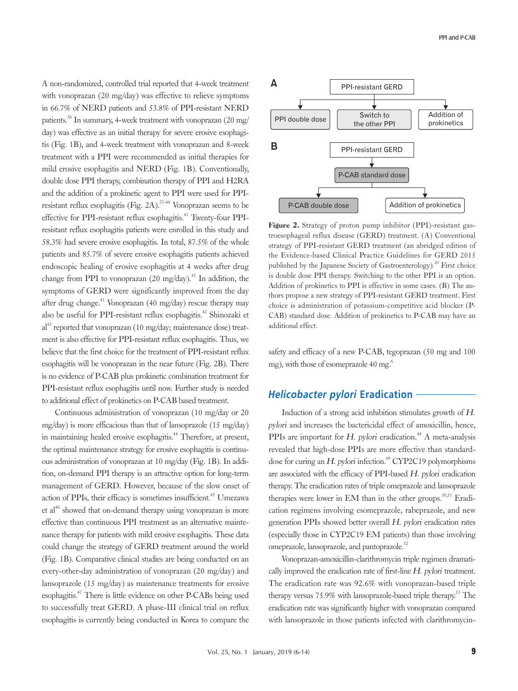A non-randomized, controlled trial reported that 4-week treatment with vonoprazan (20 mg/day) was effective to relieve symptoms in 66.7% of NERD patients and 53.8% of PPI-resistant NERD patients.<sup>36</sup> In summary, 4-week treatment with vonoprazan (20 mg/ day) was effective as an initial therapy for severe erosive esophagitis (Fig. 1B), and 4-week treatment with vonoprazan and 8-week treatment with a PPI were recommended as initial therapies for mild erosive esophagitis and NERD (Fig. 1B). Conventionally, double dose PPI therapy, combination therapy of PPI and H2RA and the addition of a prokinetic agent to PPI were used for PPIresistant reflux esophagitis (Fig. 2A).<sup>37-40</sup> Vonoprazan seems to be effective for PPI-resistant reflux esophagitis.<sup>41</sup> Twenty-four PPIresistant reflux esophagitis patients were enrolled in this study and 58.3% had severe erosive esophagitis. In total, 87.5% of the whole patients and 85.7% of severe erosive esophagitis patients achieved endoscopic healing of erosive esophagitis at 4 weeks after drug change from PPI to vonoprazan (20 mg/day).<sup>41</sup> In addition, the symptoms of GERD were significantly improved from the day after drug change.<sup>41</sup> Vonoprazan (40 mg/day) rescue therapy may also be useful for PPI-resistant reflux esophagitis.42 Shinozaki et  $al<sup>43</sup>$  reported that vonoprazan (10 mg/day; maintenance dose) treatment is also effective for PPI-resistant reflux esophagitis. Thus, we believe that the first choice for the treatment of PPI-resistant reflux esophagitis will be vonoprazan in the near future (Fig. 2B). There is no evidence of P-CAB plus prokinetic combination treatment for PPI-resistant reflux esophagitis until now. Further study is needed to additional effect of prokinetics on P-CAB based treatment.

Continuous administration of vonoprazan (10 mg/day or 20 mg/day) is more efficacious than that of lansoprazole (15 mg/day) in maintaining healed erosive esophagitis.<sup>44</sup> Therefore, at present, the optimal maintenance strategy for erosive esophagitis is continuous administration of vonoprazan at 10 mg/day (Fig. 1B). In addition, on-demand PPI therapy is an attractive option for long-term management of GERD. However, because of the slow onset of action of PPIs, their efficacy is sometimes insufficient.<sup> $45$ </sup> Umezawa et al<sup>46</sup> showed that on-demand therapy using vonoprazan is more effective than continuous PPI treatment as an alternative maintenance therapy for patients with mild erosive esophagitis. These data could change the strategy of GERD treatment around the world (Fig. 1B). Comparative clinical studies are being conducted on an every-other-day administration of vonoprazan (20 mg/day) and lansoprazole (15 mg/day) as maintenance treatments for erosive esophagitis.47 There is little evidence on other P-CABs being used to successfully treat GERD. A phase-III clinical trial on reflux esophagitis is currently being conducted in Korea to compare the



Figure 2. Strategy of proton pump inhibitor (PPI)-resistant gastroesophageal reflux disease (GERD) treatment. (A) Conventional strategy of PPI-resistant GERD treatment (an abridged edition of the Evidence-based Clinical Practice Guidelines for GERD 2015 published by the Japanese Society of Gastroenterology).<sup>29</sup> First choice is double dose PPI therapy. Switching to the other PPI is an option. Addition of prokinetics to PPI is effective in some cases. (B) The authors propose a new strategy of PPI-resistant GERD treatment. First choice is administration of potassium-competitive acid blocker (P-CAB) standard dose. Addition of prokinetics to P-CAB may have an additional effect.

safety and efficacy of a new P-CAB, tegoprazan (50 mg and 100 mg), with those of esomeprazole 40 mg. $^{6}$ 

#### **Helicobacter pylori Eradication**

Induction of a strong acid inhibition stimulates growth of H. pylori and increases the bactericidal effect of amoxicillin, hence, PPIs are important for  $H$ . pylori eradication.<sup>48</sup> A meta-analysis revealed that high-dose PPIs are more effective than standarddose for curing an H. pylori infection.<sup>49</sup> CYP2C19 polymorphisms are associated with the efficacy of PPI-based H. pylori eradication therapy. The eradication rates of triple omeprazole and lansoprazole therapies were lower in EM than in the other groups.<sup>50,51</sup> Eradication regimens involving esomeprazole, rabeprazole, and new generation PPIs showed better overall H. pylori eradication rates (especially those in CYP2C19 EM patients) than those involving omeprazole, lansoprazole, and pantoprazole.<sup>52</sup>

Vonoprazan-amoxicillin-clarithromycin triple regimen dramatically improved the eradication rate of first-line H. pylori treatment. The eradication rate was 92.6% with vonoprazan-based triple therapy versus  $75.9\%$  with lansoprazole-based triple therapy.<sup>53</sup> The eradication rate was significantly higher with vonoprazan compared with lansoprazole in those patients infected with clarithromycin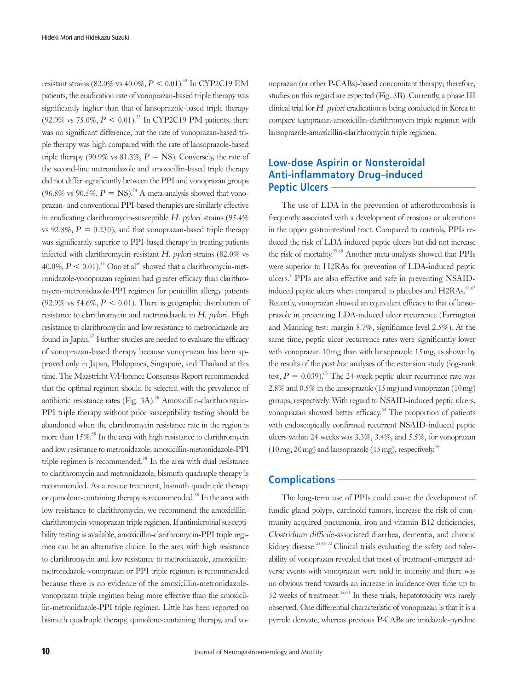resistant strains (82.0% vs  $40.0\%, P \le 0.01$ ).<sup>53</sup> In CYP2C19 EM patients, the eradication rate of vonoprazan-based triple therapy was significantly higher than that of lansoprazole-based triple therapy (92.9% vs 75.0%,  $P < 0.01$ ).<sup>53</sup> In CYP2C19 PM patients, there was no significant difference, but the rate of vonoprazan-based triple therapy was high compared with the rate of lansoprazole-based triple therapy (90.9% vs 81.3%,  $P = NS$ ). Conversely, the rate of the second-line metronidazole and amoxicillin-based triple therapy did not differ significantly between the PPI and vonoprazan groups (96.8% vs 90.5%,  $P = NS$ ).<sup>54</sup> A meta-analysis showed that vonoprazan- and conventional PPI-based therapies are similarly effective in eradicating clarithromycin-susceptible H. pylori strains (95.4% vs 92.8%,  $P = 0.230$ ), and that vonoprazan-based triple therapy was significantly superior to PPI-based therapy in treating patients infected with clarithromycin-resistant H. pylori strains (82.0% vs  $40.0\%, P \leq 0.01$ .<sup>55</sup> Ono et al<sup>56</sup> showed that a clarithromycin-metronidazole-vonoprazan regimen had greater efficacy than clarithromycin-metronidazole-PPI regimen for penicillin allergy patients (92.9% vs 54.6%,  $P < 0.01$ ). There is geographic distribution of resistance to clarithromycin and metronidazole in H. pylori. High resistance to clarithromycin and low resistance to metronidazole are found in Japan.<sup>57</sup> Further studies are needed to evaluate the efficacy of vonoprazan-based therapy because vonoprazan has been approved only in Japan, Philippines, Singapore, and Thailand at this time. The Maastricht V/Florence Consensus Report recommended that the optimal regimen should be selected with the prevalence of antibiotic resistance rates (Fig.  $3A$ ).<sup>58</sup> Amoxicillin-clarithromycin-PPI triple therapy without prior susceptibility testing should be abandoned when the clarithromycin resistance rate in the region is more than  $15\%$ .<sup>58</sup> In the area with high resistance to clarithromycin and low resistance to metronidazole, amoxicillin-metronidazole-PPI triple regimen is recommended.<sup>58</sup> In the area with dual resistance to clarithromycin and metronidazole, bismuth quadruple therapy is recommended. As a rescue treatment, bismuth quadruple therapy or quinolone-containing therapy is recommended.<sup>58</sup> In the area with low resistance to clarithromycin, we recommend the amoxicillinclarithromycin-vonoprazan triple regimen. If antimicrobial susceptibility testing is available, amoxicillin-clarithromycin-PPI triple regimen can be an alternative choice. In the area with high resistance to clarithromycin and low resistance to metronidazole, amoxicillinmetronidazole-vonoprazan or PPI triple regimen is recommended because there is no evidence of the amoxicillin-metronidazolevonoprazan triple regimen being more effective than the amoxicillin-metronidazole-PPI triple regimen. Little has been reported on bismuth quadruple therapy, quinolone-containing therapy, and vo-

noprazan (or other P-CABs)-based concomitant therapy; therefore, studies on this regard are expected (Fig. 3B). Currently, a phase III clinical trial for H. pylori eradication is being conducted in Korea to compare tegoprazan-amoxicillin-clarithromycin triple regimen with lansoprazole-amoxicillin-clarithromycin triple regimen.

# **Low-dose Aspirin or Nonsteroidal Anti-inflammatory Drug–induced Peptic Ulcers**

The use of LDA in the prevention of atherothrombosis is frequently associated with a development of erosions or ulcerations in the upper gastrointestinal tract. Compared to controls, PPIs reduced the risk of LDA-induced peptic ulcers but did not increase the risk of mortality.<sup>59,60</sup> Another meta-analysis showed that PPIs were superior to H2RAs for prevention of LDA-induced peptic ulcers.<sup>5</sup> PPIs are also effective and safe in preventing NSAIDinduced peptic ulcers when compared to placebos and H2RAs.<sup>61,62</sup> Recently, vonoprazan showed an equivalent efficacy to that of lansoprazole in preventing LDA-induced ulcer recurrence (Farrington and Manning test: margin 8.7%, significance level 2.5%). At the same time, peptic ulcer recurrence rates were significantly lower with vonoprazan 10mg than with lansoprazole 15mg, as shown by the results of the post hoc analyses of the extension study (log-rank test,  $P = 0.039$ .<sup>63</sup> The 24-week peptic ulcer recurrence rate was 2.8% and 0.5% in the lansoprazole (15mg) and vonoprazan (10mg) groups, respectively. With regard to NSAID-induced peptic ulcers, vonoprazan showed better efficacy.<sup>64</sup> The proportion of patients with endoscopically confirmed recurrent NSAID-induced peptic ulcers within 24 weeks was 3.3%, 3.4%, and 5.5%, for vonoprazan  $(10 \text{ mg}, 20 \text{ mg})$  and lansoprazole  $(15 \text{ mg})$ , respectively.<sup>64</sup>

#### **Complications**

The long-term use of PPIs could cause the development of fundic gland polyps, carcinoid tumors, increase the risk of community acquired pneumonia, iron and vitamin B12 deficiencies, Clostridium difficile-associated diarrhea, dementia, and chronic kidney disease.<sup>25,65-72</sup> Clinical trials evaluating the safety and tolerability of vonoprazan revealed that most of treatment-emergent adverse events with vonoprazan were mild in intensity and there was no obvious trend towards an increase in incidence over time up to 52 weeks of treatment.<sup>35,63</sup> In these trials, hepatotoxicity was rarely observed. One differential characteristic of vonoprazan is that it is a pyrrole derivate, whereas previous P-CABs are imidazole-pyridine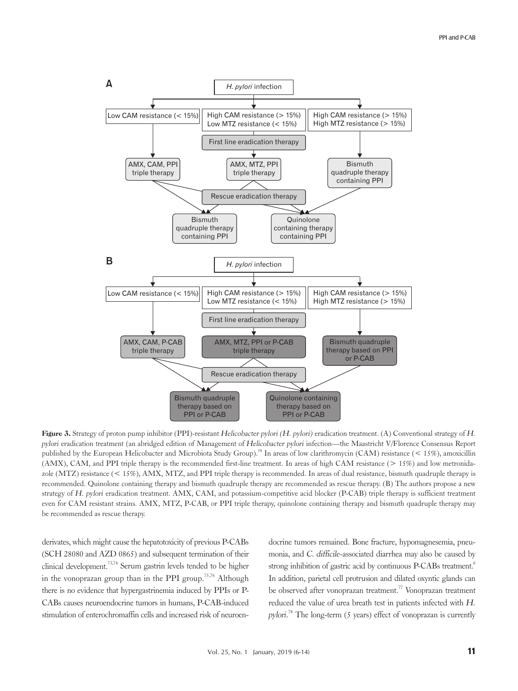

Figure 3. Strategy of proton pump inhibitor (PPI)-resistant Helicobacter pylori (H. pylori) eradication treatment. (A) Conventional strategy of H. pylori eradication treatment (an abridged edition of Management of Helicobacter pylori infection—the Maastricht V/Florence Consensus Report published by the European Helicobacter and Microbiota Study Group).<sup>58</sup> In areas of low clarithromycin (CAM) resistance (< 15%), amoxicillin (AMX), CAM, and PPI triple therapy is the recommended first-line treatment. In areas of high CAM resistance (> 15%) and low metronidazole (MTZ) resistance (< 15%), AMX, MTZ, and PPI triple therapy is recommended. In areas of dual resistance, bismuth quadruple therapy is recommended. Quinolone containing therapy and bismuth quadruple therapy are recommended as rescue therapy. (B) The authors propose a new strategy of H. pylori eradication treatment. AMX, CAM, and potassium-competitive acid blocker (P-CAB) triple therapy is sufficient treatment even for CAM resistant strains. AMX, MTZ, P-CAB, or PPI triple therapy, quinolone containing therapy and bismuth quadruple therapy may be recommended as rescue therapy.

derivates, which might cause the hepatotoxicity of previous P-CABs (SCH 28080 and AZD 0865) and subsequent termination of their clinical development.73,74 Serum gastrin levels tended to be higher in the vonoprazan group than in the PPI group.<sup>75,76</sup> Although there is no evidence that hypergastrinemia induced by PPIs or P-CABs causes neuroendocrine tumors in humans, P-CAB-induced stimulation of enterochromaffin cells and increased risk of neuroendocrine tumors remained. Bone fracture, hypomagnesemia, pneumonia, and C. difficile-associated diarrhea may also be caused by strong inhibition of gastric acid by continuous P-CABs treatment.<sup>6</sup> In addition, parietal cell protrusion and dilated oxyntic glands can be observed after vonoprazan treatment.<sup>77</sup> Vonoprazan treatment reduced the value of urea breath test in patients infected with H. pylori.<sup>78</sup> The long-term (5 years) effect of vonoprazan is currently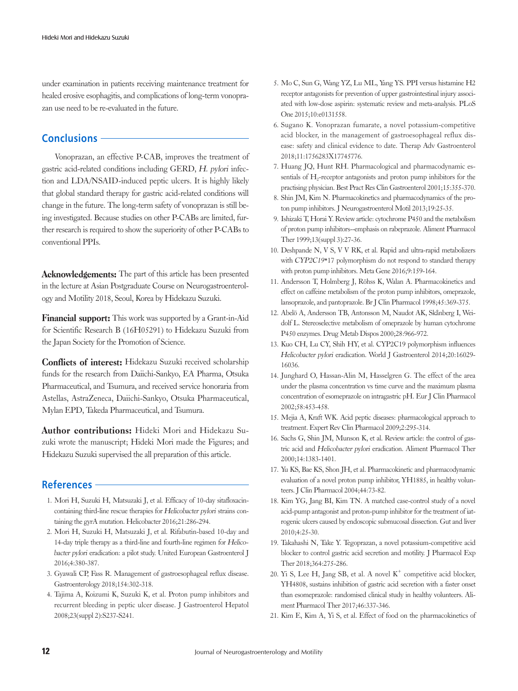under examination in patients receiving maintenance treatment for healed erosive esophagitis, and complications of long-term vonoprazan use need to be re-evaluated in the future.

# **Conclusions**

Vonoprazan, an effective P-CAB, improves the treatment of gastric acid-related conditions including GERD, H. pylori infection and LDA/NSAID-induced peptic ulcers. It is highly likely that global standard therapy for gastric acid-related conditions will change in the future. The long-term safety of vonoprazan is still being investigated. Because studies on other P-CABs are limited, further research is required to show the superiority of other P-CABs to conventional PPIs.

Acknowledgements: The part of this article has been presented in the lecture at Asian Postgraduate Course on Neurogastroenterology and Motility 2018, Seoul, Korea by Hidekazu Suzuki.

Financial support: This work was supported by a Grant-in-Aid for Scientific Research B (16H05291) to Hidekazu Suzuki from the Japan Society for the Promotion of Science.

Conflicts of interest: Hidekazu Suzuki received scholarship funds for the research from Daiichi-Sankyo, EA Pharma, Otsuka Pharmaceutical, and Tsumura, and received service honoraria from Astellas, AstraZeneca, Daiichi-Sankyo, Otsuka Pharmaceutical, Mylan EPD, Takeda Pharmaceutical, and Tsumura.

Author contributions: Hideki Mori and Hidekazu Suzuki wrote the manuscript; Hideki Mori made the Figures; and Hidekazu Suzuki supervised the all preparation of this article.

#### **References**

- 1. Mori H, Suzuki H, Matsuzaki J, et al. Efficacy of 10-day sitafloxacincontaining third-line rescue therapies for Helicobacter pylori strains containing the gyrA mutation. Helicobacter 2016;21:286-294.
- 2. Mori H, Suzuki H, Matsuzaki J, et al. Rifabutin-based 10-day and 14-day triple therapy as a third-line and fourth-line regimen for Helicobacter pylori eradication: a pilot study. United European Gastroenterol J 2016;4:380-387.
- 3. Gyawali CP, Fass R. Management of gastroesophageal reflux disease. Gastroenterology 2018;154:302-318.
- 4. Tajima A, Koizumi K, Suzuki K, et al. Proton pump inhibitors and recurrent bleeding in peptic ulcer disease. J Gastroenterol Hepatol 2008;23(suppl 2):S237-S241.
- 5. Mo C, Sun G, Wang YZ, Lu ML, Yang YS. PPI versus histamine H2 receptor antagonists for prevention of upper gastrointestinal injury associated with low-dose aspirin: systematic review and meta-analysis. PLoS One 2015;10:e0131558.
- 6. Sugano K. Vonoprazan fumarate, a novel potassium-competitive acid blocker, in the management of gastroesophageal reflux disease: safety and clinical evidence to date. Therap Adv Gastroenterol 2018;11:1756283X17745776.
- 7. Huang JQ, Hunt RH. Pharmacological and pharmacodynamic essentials of  $H_2$ -receptor antagonists and proton pump inhibitors for the practising physician. Best Pract Res Clin Gastroenterol 2001;15:355-370.
- 8. Shin JM, Kim N. Pharmacokinetics and pharmacodynamics of the proton pump inhibitors. J Neurogastroenterol Motil 2013;19:25-35.
- 9. Ishizaki T, Horai Y. Review article: cytochrome P450 and the metabolism of proton pump inhibitors--emphasis on rabeprazole. Aliment Pharmacol Ther 1999;13(suppl 3):27-36.
- 10. Deshpande N, V S, V V RK, et al. Rapid and ultra-rapid metabolizers with CYP2C19\*17 polymorphism do not respond to standard therapy with proton pump inhibitors. Meta Gene 2016;9:159-164.
- 11. Andersson T, Holmberg J, Röhss K, Walan A. Pharmacokinetics and effect on caffeine metabolism of the proton pump inhibitors, omeprazole, lansoprazole, and pantoprazole. Br J Clin Pharmacol 1998;45:369-375.
- 12. Abelö A, Andersson TB, Antonsson M, Naudot AK, Skånberg I, Weidolf L. Stereoselective metabolism of omeprazole by human cytochrome P450 enzymes. Drug Metab Dispos 2000;28:966-972.
- 13. Kuo CH, Lu CY, Shih HY, et al. CYP2C19 polymorphism influences Helicobacter pylori eradication. World J Gastroenterol 2014;20:16029- 16036.
- 14. Junghard O, Hassan-Alin M, Hasselgren G. The effect of the area under the plasma concentration vs time curve and the maximum plasma concentration of esomeprazole on intragastric pH. Eur J Clin Pharmacol 2002;58:453-458.
- 15. Mejia A, Kraft WK. Acid peptic diseases: pharmacological approach to treatment. Expert Rev Clin Pharmacol 2009;2:295-314.
- 16. Sachs G, Shin JM, Munson K, et al. Review article: the control of gastric acid and Helicobacter pylori eradication. Aliment Pharmacol Ther 2000;14:1383-1401.
- 17. Yu KS, Bae KS, Shon JH, et al. Pharmacokinetic and pharmacodynamic evaluation of a novel proton pump inhibitor, YH1885, in healthy volunteers. J Clin Pharmacol 2004;44:73-82.
- 18. Kim YG, Jang BI, Kim TN. A matched case-control study of a novel acid-pump antagonist and proton-pump inhibitor for the treatment of iatrogenic ulcers caused by endoscopic submucosal dissection. Gut and liver 2010;4:25-30.
- 19. Takahashi N, Take Y. Tegoprazan, a novel potassium-competitive acid blocker to control gastric acid secretion and motility. J Pharmacol Exp Ther 2018;364:275-286.
- 20. Yi S, Lee H, Jang SB, et al. A novel  $K^+$  competitive acid blocker, YH4808, sustains inhibition of gastric acid secretion with a faster onset than esomeprazole: randomised clinical study in healthy volunteers. Aliment Pharmacol Ther 2017;46:337-346.
- 21. Kim E, Kim A, Yi S, et al. Effect of food on the pharmacokinetics of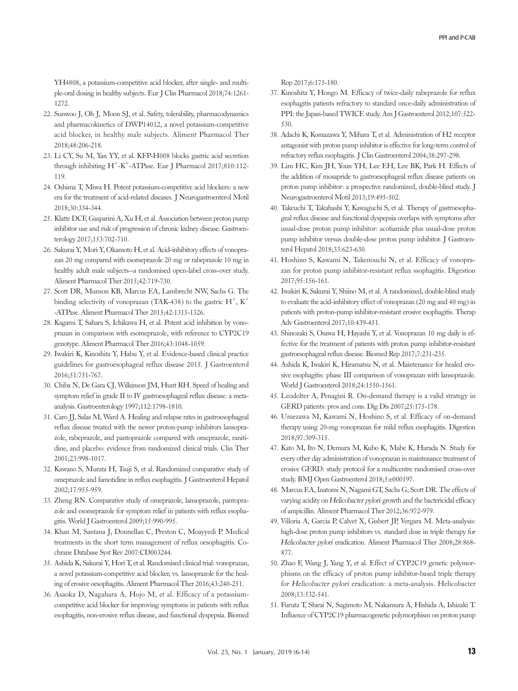YH4808, a potassium-competitive acid blocker, after single- and multiple-oral dosing in healthy subjects. Eur J Clin Pharmacol 2018;74:1261- 1272.

- 22. Sunwoo J, Oh J, Moon SJ, et al. Safety, tolerability, pharmacodynamics and pharmacokinetics of DWP14012, a novel potassium-competitive acid blocker, in healthy male subjects. Aliment Pharmacol Ther 2018;48:206-218.
- 23. Li CY, Su M, Yan YY, et al. KFP-H008 blocks gastric acid secretion through inhibiting  $H^+$ -K<sup>+</sup>-ATPase. Eur J Pharmacol 2017;810:112-119.
- 24. Oshima T, Miwa H. Potent potassium-competitive acid blockers: a new era for the treatment of acid-related diseases. J Neurogastroenterol Motil 2018;30:334-344.
- 25. Klatte DCF, Gasparini A, Xu H, et al. Association between proton pump inhibitor use and risk of progression of chronic kidney disease. Gastroenterology 2017;153:702-710.
- 26. Sakurai Y, Mori Y, Okamoto H, et al. Acid-inhibitory effects of vonoprazan 20 mg compared with esomeprazole 20 mg or rabeprazole 10 mg in healthy adult male subjects--a randomised open-label cross-over study. Aliment Pharmacol Ther 2015;42:719-730.
- 27. Scott DR, Munson KB, Marcus EA, Lambrecht NW, Sachs G. The binding selectivity of vonoprazan (TAK-438) to the gastric  $H^+$ ,  $K^+$ -ATPase. Aliment Pharmacol Ther 2015;42:1315-1326.
- 28. Kagami T, Sahara S, Ichikawa H, et al. Potent acid inhibition by vonoprazan in comparison with esomeprazole, with reference to CYP2C19 genotype. Aliment Pharmacol Ther 2016;43:1048-1059.
- 29. Iwakiri K, Kinoshita Y, Habu Y, et al. Evidence-based clinical practice guidelines for gastroesophageal reflux disease 2015. J Gastroenterol 2016;51:751-767.
- 30. Chiba N, De Gara CJ, Wilkinson JM, Hunt RH. Speed of healing and symptom relief in grade II to IV gastroesophageal reflux disease: a metaanalysis. Gastroenterology 1997;112:1798-1810.
- 31. Caro JJ, Salas M, Ward A. Healing and relapse rates in gastroesophageal reflux disease treated with the newer proton-pump inhibitors lansoprazole, rabeprazole, and pantoprazole compared with omeprazole, ranitidine, and placebo: evidence from randomized clinical trials. Clin Ther 2001;23:998-1017.
- 32. Kawano S, Murata H, Tsuji S, et al. Randomized comparative study of omeprazole and famotidine in reflux esophagitis. J Gastroenterol Hepatol 2002;17:955-959.
- 33. Zheng RN. Comparative study of omeprazole, lansoprazole, pantoprazole and esomeprazole for symptom relief in patients with reflux esophagitis. World J Gastroenterol 2009;15:990-995.
- 34. Khan M, Santana J, Donnellan C, Preston C, Moayyedi P. Medical treatments in the short term management of reflux oesophagitis. Cochrane Database Syst Rev 2007:CD003244.
- 35. Ashida K, Sakurai Y, Hori T, et al. Randomised clinical trial: vonoprazan, a novel potassium-competitive acid blocker, vs. lansoprazole for the healing of erosive oesophagitis. Aliment Pharmacol Ther 2016;43:240-251.
- 36. Asaoka D, Nagahara A, Hojo M, et al. Efficacy of a potassiumcompetitive acid blocker for improving symptoms in patients with reflux esophagitis, non-erosive reflux disease, and functional dyspepsia. Biomed

Rop 2017;6:175-180.

- 37. Kinoshita Y, Hongo M. Efficacy of twice-daily rabeprazole for reflux esophagitis patients refractory to standard once-daily administration of PPI: the Japan-based TWICE study. Am J Gastroenterol 2012;107:522- 530.
- 38. Adachi K, Komazawa Y, Mihara T, et al. Administration of H2 receptor antagonist with proton pump inhibitor is effective for long-term control of refractory reflux esophagitis. J Clin Gastroenterol 2004;38:297-298.
- 39. Lim HC, Kim JH, Youn YH, Lee EH, Lee BK, Park H. Effects of the addition of mosapride to gastroesophageal reflux disease patients on proton pump inhibitor: a prospective randomized, double-blind study. J Neurogastroenterol Motil 2013;19:495-502.
- 40. Takeuchi T, Takahashi Y, Kawaguchi S, et al. Therapy of gastroesophageal reflux disease and functional dyspepsia overlaps with symptoms after usual-dose proton pump inhibitor: acotiamide plus usual-dose proton pump inhibitor versus double-dose proton pump inhibitor. J Gastroenterol Hepatol 2018;33:623-630.
- 41. Hoshino S, Kawami N, Takenouchi N, et al. Efficacy of vonoprazan for proton pump inhibitor-resistant reflux ssophagitis. Digestion 2017;95:156-161.
- 42. Iwakiri K, Sakurai Y, Shiino M, et al. A randomized, double-blind study to evaluate the acid-inhibitory effect of vonoprazan (20 mg and 40 mg) in patients with proton-pump inhibitor-resistant erosive esophagitis. Therap Adv Gastroenterol 2017;10:439-451.
- 43. Shinozaki S, Osawa H, Hayashi Y, et al. Vonoprazan 10 mg daily is effective for the treatment of patients with proton pump inhibitor-resistant gastroesophageal reflux disease. Biomed Rep 2017;7:231-235.
- 44. Ashida K, Iwakiri K, Hiramatsu N, et al. Maintenance for healed erosive esophagitis: phase III comparison of vonoprazan with lansoprazole. World J Gastroenterol 2018;24:1550-1561.
- 45. Leodolter A, Penagini R. On-demand therapy is a valid strategy in GERD patients: pros and cons. Dig Dis 2007;25:175-178.
- 46. Umezawa M, Kawami N, Hoshino S, et al. Efficacy of on-demand therapy using 20-mg vonoprazan for mild reflux esophagitis. Digestion 2018;97:309-315.
- 47. Kato M, Ito N, Demura M, Kubo K, Mabe K, Harada N. Study for every other day administration of vonoprazan in maintenance treatment of erosive GERD: study protocol for a multicentre randomised cross-over study. BMJ Open Gastroenterol 2018;5:e000197.
- 48. Marcus EA, Inatomi N, Nagami GT, Sachs G, Scott DR. The effects of varying acidity on Helicobacter pylori growth and the bactericidal efficacy of ampicillin. Aliment Pharmacol Ther 2012;36:972-979.
- 49. Villoria A, Garcia P, Calvet X, Gisbert JP, Vergara M. Meta-analysis: high-dose proton pump inhibitors vs. standard dose in triple therapy for Helicobacter pylori eradication. Aliment Pharmacol Ther 2008;28:868- 877.
- 50. Zhao F, Wang J, Yang Y, et al. Effect of CYP2C19 genetic polymorphisms on the efficacy of proton pump inhibitor-based triple therapy for Helicobacter pylori eradication: a meta-analysis. Helicobacter 2008;13:532-541.
- 51. Furuta T, Shirai N, Sugimoto M, Nakamura A, Hishida A, Ishizaki T. Influence of CYP2C19 pharmacogenetic polymorphism on proton pump